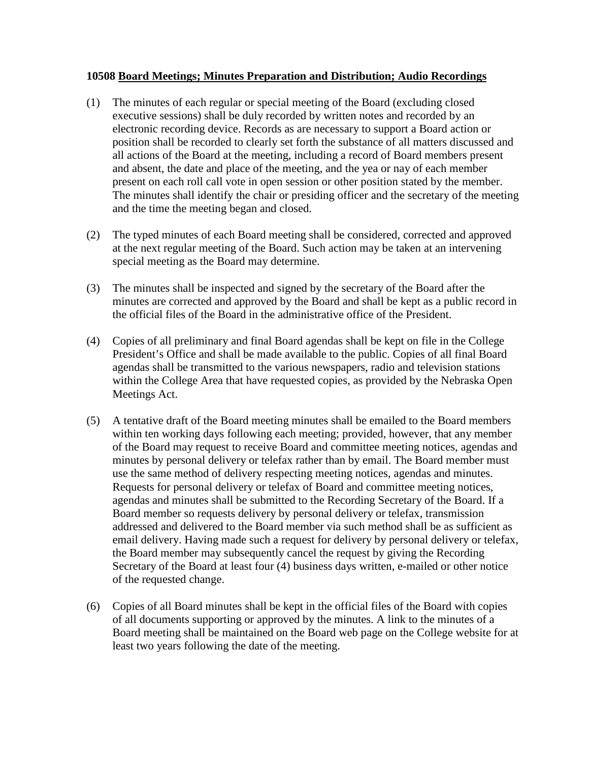## **10508 Board Meetings; Minutes Preparation and Distribution; Audio Recordings**

- (1) The minutes of each regular or special meeting of the Board (excluding closed executive sessions) shall be duly recorded by written notes and recorded by an electronic recording device. Records as are necessary to support a Board action or position shall be recorded to clearly set forth the substance of all matters discussed and all actions of the Board at the meeting, including a record of Board members present and absent, the date and place of the meeting, and the yea or nay of each member present on each roll call vote in open session or other position stated by the member. The minutes shall identify the chair or presiding officer and the secretary of the meeting and the time the meeting began and closed.
- (2) The typed minutes of each Board meeting shall be considered, corrected and approved at the next regular meeting of the Board. Such action may be taken at an intervening special meeting as the Board may determine.
- (3) The minutes shall be inspected and signed by the secretary of the Board after the minutes are corrected and approved by the Board and shall be kept as a public record in the official files of the Board in the administrative office of the President.
- (4) Copies of all preliminary and final Board agendas shall be kept on file in the College President's Office and shall be made available to the public. Copies of all final Board agendas shall be transmitted to the various newspapers, radio and television stations within the College Area that have requested copies, as provided by the Nebraska Open Meetings Act.
- (5) A tentative draft of the Board meeting minutes shall be emailed to the Board members within ten working days following each meeting; provided, however, that any member of the Board may request to receive Board and committee meeting notices, agendas and minutes by personal delivery or telefax rather than by email. The Board member must use the same method of delivery respecting meeting notices, agendas and minutes. Requests for personal delivery or telefax of Board and committee meeting notices, agendas and minutes shall be submitted to the Recording Secretary of the Board. If a Board member so requests delivery by personal delivery or telefax, transmission addressed and delivered to the Board member via such method shall be as sufficient as email delivery. Having made such a request for delivery by personal delivery or telefax, the Board member may subsequently cancel the request by giving the Recording Secretary of the Board at least four (4) business days written, e-mailed or other notice of the requested change.
- (6) Copies of all Board minutes shall be kept in the official files of the Board with copies of all documents supporting or approved by the minutes. A link to the minutes of a Board meeting shall be maintained on the Board web page on the College website for at least two years following the date of the meeting.